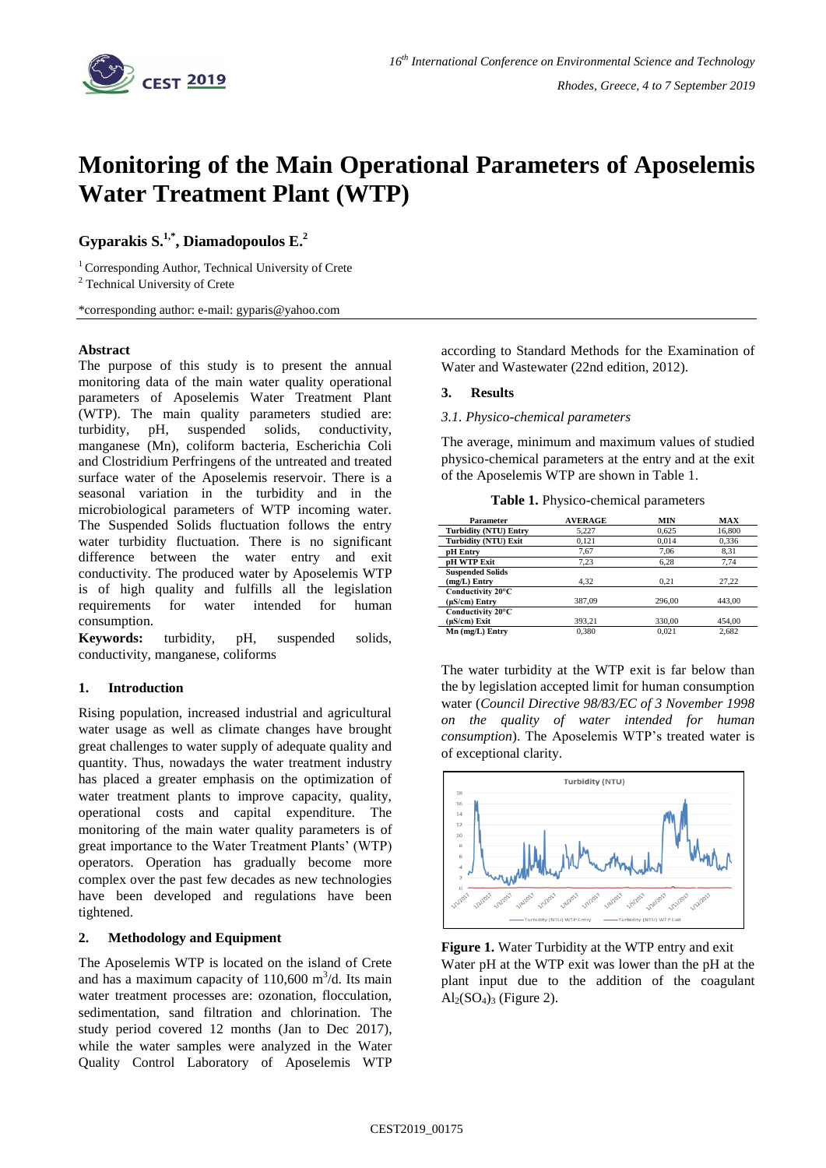

# **Monitoring of the Main Operational Parameters of Aposelemis Water Treatment Plant (WTP)**

# **Gyparakis S.1,\* , Diamadopoulos E. 2**

<sup>1</sup> Corresponding Author, Technical University of Crete <sup>2</sup> Technical University of Crete

\*corresponding author: e-mail: gyparis@yahoo.com

### **Abstract**

The purpose of this study is to present the annual monitoring data of the main water quality operational parameters of Aposelemis Water Treatment Plant (WTP). The main quality parameters studied are: turbidity, pH, suspended solids, conductivity, manganese (Mn), coliform bacteria, Escherichia Coli and Clostridium Perfringens of the untreated and treated surface water of the Aposelemis reservoir. There is a seasonal variation in the turbidity and in the microbiological parameters of WTP incoming water. The Suspended Solids fluctuation follows the entry water turbidity fluctuation. There is no significant difference between the water entry and exit conductivity. The produced water by Aposelemis WTP is of high quality and fulfills all the legislation requirements for water intended for human consumption.

**Keywords:** turbidity, pH, suspended solids, conductivity, manganese, coliforms

### **1. Introduction**

Rising population, increased industrial and agricultural water usage as well as climate changes have brought great challenges to water supply of adequate quality and quantity. Thus, nowadays the water treatment industry has placed a greater emphasis on the optimization of water treatment plants to improve capacity, quality, operational costs and capital expenditure. The monitoring of the main water quality parameters is of great importance to the Water Treatment Plants' (WTP) operators. Operation has gradually become more complex over the past few decades as new technologies have been developed and regulations have been tightened.

# **2. Methodology and Equipment**

The Aposelemis WTP is located on the island of Crete and has a maximum capacity of  $110,600$  m<sup>3</sup>/d. Its main water treatment processes are: ozonation, flocculation, sedimentation, sand filtration and chlorination. The study period covered 12 months (Jan to Dec 2017), while the water samples were analyzed in the Water Quality Control Laboratory of Aposelemis WTP

according to Standard Methods for the Examination of Water and Wastewater (22nd edition, 2012).

### **3. Results**

*3.1. Physico-chemical parameters*

The average, minimum and maximum values of studied physico-chemical parameters at the entry and at the exit of the Aposelemis WTP are shown in Table 1.

**Table 1.** Physico-chemical parameters

| Parameter                                 | <b>AVERAGE</b> | MIN    | MAX    |
|-------------------------------------------|----------------|--------|--------|
| <b>Turbidity (NTU) Entry</b>              | 5.227          | 0.625  | 16,800 |
| Turbidity (NTU) Exit                      | 0.121          | 0.014  | 0,336  |
| pH Entry                                  | 7,67           | 7,06   | 8,31   |
| <b>pH WTP Exit</b>                        | 7,23           | 6,28   | 7,74   |
| <b>Suspended Solids</b><br>$(mg/L)$ Entry | 4.32           | 0.21   | 27.22  |
| Conductivity 20°C<br>$(\mu S/cm)$ Entry   | 387,09         | 296.00 | 443,00 |
| Conductivity 20°C<br>$(\mu S/cm)$ Exit    | 393.21         | 330,00 | 454.00 |
| Mn (mg/L) Entry                           | 0.380          | 0.021  | 2.682  |

The water turbidity at the WTP exit is far below than the by legislation accepted limit for human consumption water (*Council Directive 98/83/EC of 3 November 1998 on the quality of water intended for human consumption*). The Aposelemis WTP's treated water is of exceptional clarity.



**Figure 1.** Water Turbidity at the WTP entry and exit Water pH at the WTP exit was lower than the pH at the plant input due to the addition of the coagulant  $Al<sub>2</sub>(SO<sub>4</sub>)<sub>3</sub>$  (Figure 2).